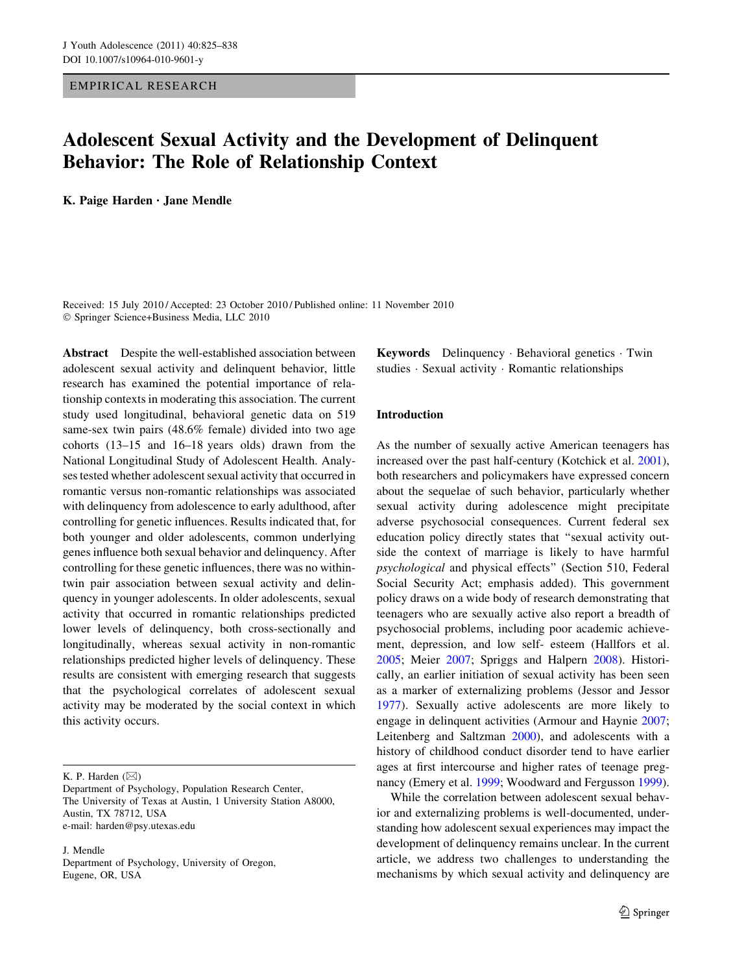#### EMPIRICAL RESEARCH

# Adolescent Sexual Activity and the Development of Delinquent Behavior: The Role of Relationship Context

K. Paige Harden • Jane Mendle

Received: 15 July 2010 / Accepted: 23 October 2010 / Published online: 11 November 2010 ! Springer Science+Business Media, LLC 2010

Abstract Despite the well-established association between adolescent sexual activity and delinquent behavior, little research has examined the potential importance of relationship contexts in moderating this association. The current study used longitudinal, behavioral genetic data on 519 same-sex twin pairs (48.6% female) divided into two age cohorts (13–15 and 16–18 years olds) drawn from the National Longitudinal Study of Adolescent Health. Analyses tested whether adolescent sexual activity that occurred in romantic versus non-romantic relationships was associated with delinquency from adolescence to early adulthood, after controlling for genetic influences. Results indicated that, for both younger and older adolescents, common underlying genes influence both sexual behavior and delinquency. After controlling for these genetic influences, there was no withintwin pair association between sexual activity and delinquency in younger adolescents. In older adolescents, sexual activity that occurred in romantic relationships predicted lower levels of delinquency, both cross-sectionally and longitudinally, whereas sexual activity in non-romantic relationships predicted higher levels of delinquency. These results are consistent with emerging research that suggests that the psychological correlates of adolescent sexual activity may be moderated by the social context in which this activity occurs.

K. P. Harden  $(\boxtimes)$ 

Department of Psychology, Population Research Center, The University of Texas at Austin, 1 University Station A8000, Austin, TX 78712, USA e-mail: harden@psy.utexas.edu

J. Mendle

Department of Psychology, University of Oregon, Eugene, OR, USA

Keywords Delinquency  $\cdot$  Behavioral genetics  $\cdot$  Twin studies · Sexual activity · Romantic relationships

#### Introduction

As the number of sexually active American teenagers has increased over the past half-century (Kotchick et al. [2001](#page-11-0)), both researchers and policymakers have expressed concern about the sequelae of such behavior, particularly whether sexual activity during adolescence might precipitate adverse psychosocial consequences. Current federal sex education policy directly states that ''sexual activity outside the context of marriage is likely to have harmful psychological and physical effects'' (Section 510, Federal Social Security Act; emphasis added). This government policy draws on a wide body of research demonstrating that teenagers who are sexually active also report a breadth of psychosocial problems, including poor academic achievement, depression, and low self- esteem (Hallfors et al. [2005](#page-11-0); Meier [2007;](#page-12-0) Spriggs and Halpern [2008](#page-12-0)). Historically, an earlier initiation of sexual activity has been seen as a marker of externalizing problems (Jessor and Jessor [1977](#page-11-0)). Sexually active adolescents are more likely to engage in delinquent activities (Armour and Haynie [2007](#page-10-0); Leitenberg and Saltzman [2000](#page-12-0)), and adolescents with a history of childhood conduct disorder tend to have earlier ages at first intercourse and higher rates of teenage pregnancy (Emery et al. [1999](#page-11-0); Woodward and Fergusson [1999](#page-13-0)).

While the correlation between adolescent sexual behavior and externalizing problems is well-documented, understanding how adolescent sexual experiences may impact the development of delinquency remains unclear. In the current article, we address two challenges to understanding the mechanisms by which sexual activity and delinquency are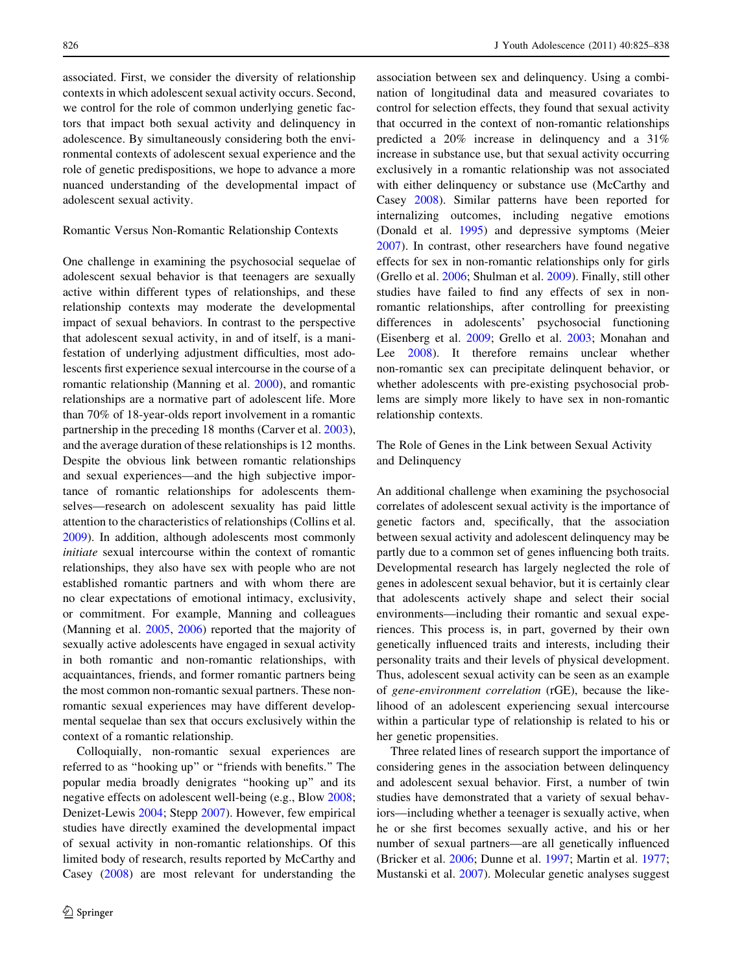associated. First, we consider the diversity of relationship contexts in which adolescent sexual activity occurs. Second, we control for the role of common underlying genetic factors that impact both sexual activity and delinquency in adolescence. By simultaneously considering both the environmental contexts of adolescent sexual experience and the role of genetic predispositions, we hope to advance a more nuanced understanding of the developmental impact of adolescent sexual activity.

## Romantic Versus Non-Romantic Relationship Contexts

One challenge in examining the psychosocial sequelae of adolescent sexual behavior is that teenagers are sexually active within different types of relationships, and these relationship contexts may moderate the developmental impact of sexual behaviors. In contrast to the perspective that adolescent sexual activity, in and of itself, is a manifestation of underlying adjustment difficulties, most adolescents first experience sexual intercourse in the course of a romantic relationship (Manning et al. [2000\)](#page-12-0), and romantic relationships are a normative part of adolescent life. More than 70% of 18-year-olds report involvement in a romantic partnership in the preceding 18 months (Carver et al. [2003](#page-11-0)), and the average duration of these relationships is 12 months. Despite the obvious link between romantic relationships and sexual experiences—and the high subjective importance of romantic relationships for adolescents themselves—research on adolescent sexuality has paid little attention to the characteristics of relationships (Collins et al. [2009\)](#page-11-0). In addition, although adolescents most commonly initiate sexual intercourse within the context of romantic relationships, they also have sex with people who are not established romantic partners and with whom there are no clear expectations of emotional intimacy, exclusivity, or commitment. For example, Manning and colleagues (Manning et al. [2005](#page-12-0), [2006\)](#page-12-0) reported that the majority of sexually active adolescents have engaged in sexual activity in both romantic and non-romantic relationships, with acquaintances, friends, and former romantic partners being the most common non-romantic sexual partners. These nonromantic sexual experiences may have different developmental sequelae than sex that occurs exclusively within the context of a romantic relationship.

Colloquially, non-romantic sexual experiences are referred to as ''hooking up'' or ''friends with benefits.'' The popular media broadly denigrates ''hooking up'' and its negative effects on adolescent well-being (e.g., Blow [2008](#page-10-0); Denizet-Lewis [2004;](#page-11-0) Stepp [2007](#page-12-0)). However, few empirical studies have directly examined the developmental impact of sexual activity in non-romantic relationships. Of this limited body of research, results reported by McCarthy and Casey ([2008\)](#page-12-0) are most relevant for understanding the

association between sex and delinquency. Using a combination of longitudinal data and measured covariates to control for selection effects, they found that sexual activity that occurred in the context of non-romantic relationships predicted a 20% increase in delinquency and a 31% increase in substance use, but that sexual activity occurring exclusively in a romantic relationship was not associated with either delinquency or substance use (McCarthy and Casey [2008\)](#page-12-0). Similar patterns have been reported for internalizing outcomes, including negative emotions (Donald et al. [1995](#page-11-0)) and depressive symptoms (Meier [2007](#page-12-0)). In contrast, other researchers have found negative effects for sex in non-romantic relationships only for girls (Grello et al. [2006](#page-11-0); Shulman et al. [2009\)](#page-12-0). Finally, still other studies have failed to find any effects of sex in nonromantic relationships, after controlling for preexisting differences in adolescents' psychosocial functioning (Eisenberg et al. [2009;](#page-11-0) Grello et al. [2003;](#page-11-0) Monahan and Lee [2008](#page-12-0)). It therefore remains unclear whether non-romantic sex can precipitate delinquent behavior, or whether adolescents with pre-existing psychosocial problems are simply more likely to have sex in non-romantic relationship contexts.

The Role of Genes in the Link between Sexual Activity and Delinquency

An additional challenge when examining the psychosocial correlates of adolescent sexual activity is the importance of genetic factors and, specifically, that the association between sexual activity and adolescent delinquency may be partly due to a common set of genes influencing both traits. Developmental research has largely neglected the role of genes in adolescent sexual behavior, but it is certainly clear that adolescents actively shape and select their social environments—including their romantic and sexual experiences. This process is, in part, governed by their own genetically influenced traits and interests, including their personality traits and their levels of physical development. Thus, adolescent sexual activity can be seen as an example of gene-environment correlation (rGE), because the likelihood of an adolescent experiencing sexual intercourse within a particular type of relationship is related to his or her genetic propensities.

Three related lines of research support the importance of considering genes in the association between delinquency and adolescent sexual behavior. First, a number of twin studies have demonstrated that a variety of sexual behaviors—including whether a teenager is sexually active, when he or she first becomes sexually active, and his or her number of sexual partners—are all genetically influenced (Bricker et al. [2006](#page-10-0); Dunne et al. [1997;](#page-11-0) Martin et al. [1977](#page-12-0); Mustanski et al. [2007](#page-12-0)). Molecular genetic analyses suggest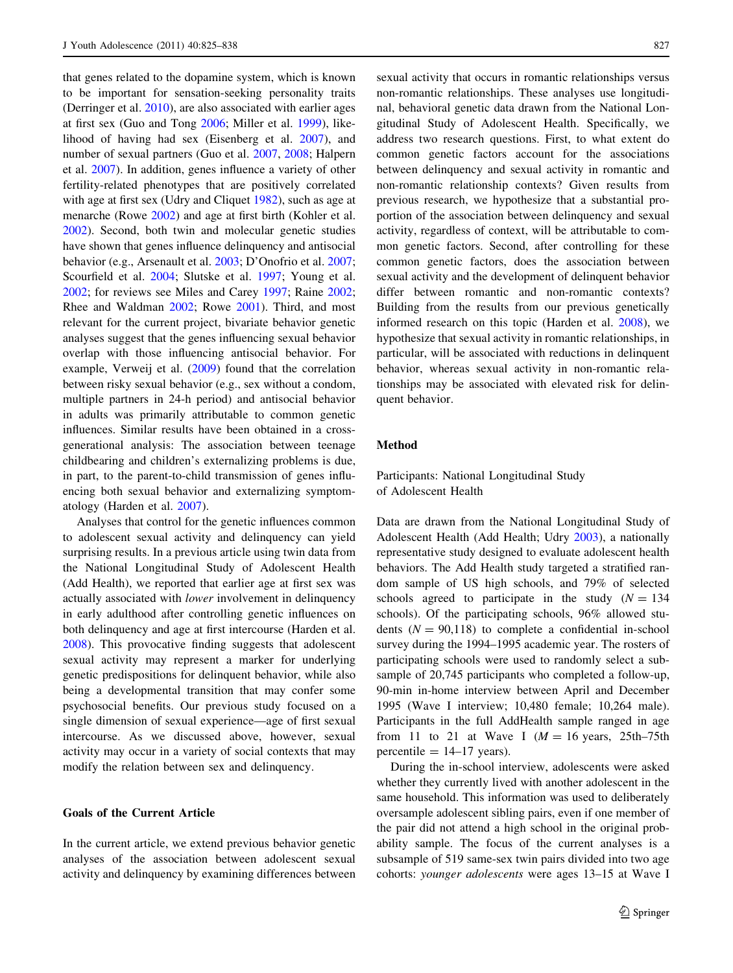that genes related to the dopamine system, which is known to be important for sensation-seeking personality traits (Derringer et al. [2010\)](#page-11-0), are also associated with earlier ages at first sex (Guo and Tong [2006](#page-11-0); Miller et al. [1999\)](#page-12-0), likelihood of having had sex (Eisenberg et al. [2007](#page-11-0)), and number of sexual partners (Guo et al. [2007,](#page-11-0) [2008](#page-11-0); Halpern et al. [2007](#page-11-0)). In addition, genes influence a variety of other fertility-related phenotypes that are positively correlated with age at first sex (Udry and Cliquet [1982\)](#page-12-0), such as age at menarche (Rowe [2002\)](#page-12-0) and age at first birth (Kohler et al. [2002\)](#page-11-0). Second, both twin and molecular genetic studies have shown that genes influence delinquency and antisocial behavior (e.g., Arsenault et al. [2003;](#page-10-0) D'Onofrio et al. [2007](#page-11-0); Scourfield et al. [2004](#page-12-0); Slutske et al. [1997;](#page-12-0) Young et al. [2002;](#page-13-0) for reviews see Miles and Carey [1997;](#page-12-0) Raine [2002](#page-12-0); Rhee and Waldman [2002;](#page-12-0) Rowe [2001](#page-12-0)). Third, and most relevant for the current project, bivariate behavior genetic analyses suggest that the genes influencing sexual behavior overlap with those influencing antisocial behavior. For example, Verweij et al. ([2009\)](#page-13-0) found that the correlation between risky sexual behavior (e.g., sex without a condom, multiple partners in 24-h period) and antisocial behavior in adults was primarily attributable to common genetic influences. Similar results have been obtained in a crossgenerational analysis: The association between teenage childbearing and children's externalizing problems is due, in part, to the parent-to-child transmission of genes influencing both sexual behavior and externalizing symptomatology (Harden et al. [2007](#page-11-0)).

Analyses that control for the genetic influences common to adolescent sexual activity and delinquency can yield surprising results. In a previous article using twin data from the National Longitudinal Study of Adolescent Health (Add Health), we reported that earlier age at first sex was actually associated with lower involvement in delinquency in early adulthood after controlling genetic influences on both delinquency and age at first intercourse (Harden et al. [2008\)](#page-11-0). This provocative finding suggests that adolescent sexual activity may represent a marker for underlying genetic predispositions for delinquent behavior, while also being a developmental transition that may confer some psychosocial benefits. Our previous study focused on a single dimension of sexual experience—age of first sexual intercourse. As we discussed above, however, sexual activity may occur in a variety of social contexts that may modify the relation between sex and delinquency.

## Goals of the Current Article

In the current article, we extend previous behavior genetic analyses of the association between adolescent sexual activity and delinquency by examining differences between sexual activity that occurs in romantic relationships versus non-romantic relationships. These analyses use longitudinal, behavioral genetic data drawn from the National Longitudinal Study of Adolescent Health. Specifically, we address two research questions. First, to what extent do common genetic factors account for the associations between delinquency and sexual activity in romantic and non-romantic relationship contexts? Given results from previous research, we hypothesize that a substantial proportion of the association between delinquency and sexual activity, regardless of context, will be attributable to common genetic factors. Second, after controlling for these common genetic factors, does the association between sexual activity and the development of delinquent behavior differ between romantic and non-romantic contexts? Building from the results from our previous genetically informed research on this topic (Harden et al. [2008\)](#page-11-0), we hypothesize that sexual activity in romantic relationships, in particular, will be associated with reductions in delinquent behavior, whereas sexual activity in non-romantic relationships may be associated with elevated risk for delinquent behavior.

#### Method

Participants: National Longitudinal Study of Adolescent Health

Data are drawn from the National Longitudinal Study of Adolescent Health (Add Health; Udry [2003\)](#page-12-0), a nationally representative study designed to evaluate adolescent health behaviors. The Add Health study targeted a stratified random sample of US high schools, and 79% of selected schools agreed to participate in the study  $(N = 134)$ schools). Of the participating schools, 96% allowed students  $(N = 90,118)$  to complete a confidential in-school survey during the 1994–1995 academic year. The rosters of participating schools were used to randomly select a subsample of 20,745 participants who completed a follow-up, 90-min in-home interview between April and December 1995 (Wave I interview; 10,480 female; 10,264 male). Participants in the full AddHealth sample ranged in age from 11 to 21 at Wave I ( $M = 16$  years, 25th–75th  $percentile = 14-17$  years).

During the in-school interview, adolescents were asked whether they currently lived with another adolescent in the same household. This information was used to deliberately oversample adolescent sibling pairs, even if one member of the pair did not attend a high school in the original probability sample. The focus of the current analyses is a subsample of 519 same-sex twin pairs divided into two age cohorts: younger adolescents were ages 13–15 at Wave I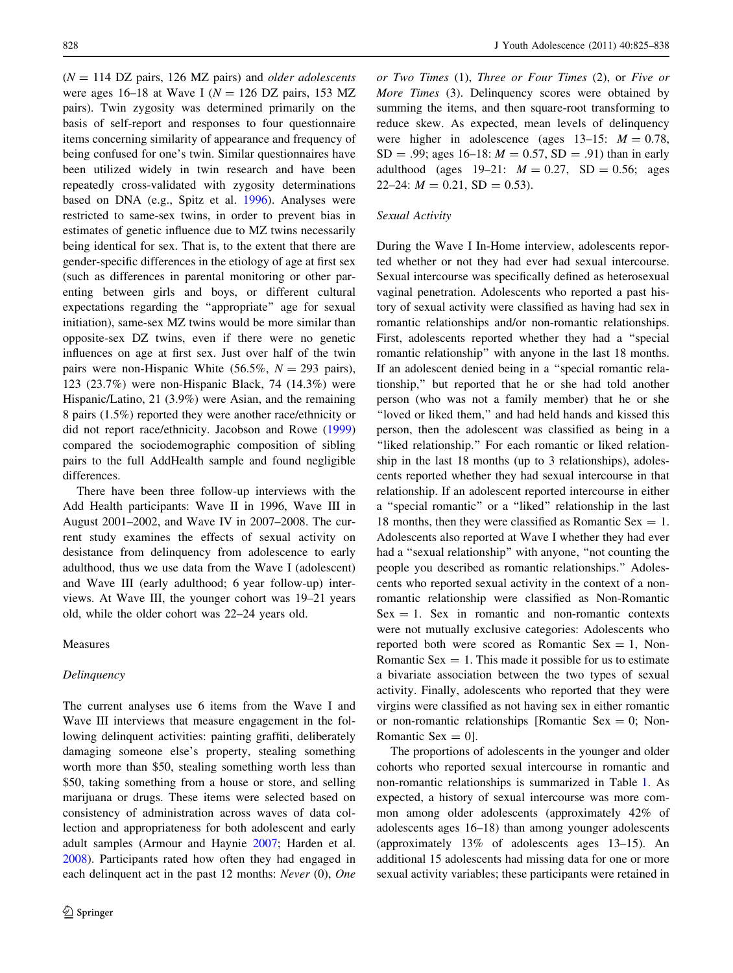$(N = 114 \text{ DZ pairs}, 126 \text{ MZ pairs})$  and *older adolescents* were ages 16–18 at Wave I ( $N = 126$  DZ pairs, 153 MZ pairs). Twin zygosity was determined primarily on the basis of self-report and responses to four questionnaire items concerning similarity of appearance and frequency of being confused for one's twin. Similar questionnaires have been utilized widely in twin research and have been repeatedly cross-validated with zygosity determinations based on DNA (e.g., Spitz et al. [1996](#page-12-0)). Analyses were restricted to same-sex twins, in order to prevent bias in estimates of genetic influence due to MZ twins necessarily being identical for sex. That is, to the extent that there are gender-specific differences in the etiology of age at first sex (such as differences in parental monitoring or other parenting between girls and boys, or different cultural expectations regarding the ''appropriate'' age for sexual initiation), same-sex MZ twins would be more similar than opposite-sex DZ twins, even if there were no genetic influences on age at first sex. Just over half of the twin pairs were non-Hispanic White (56.5%,  $N = 293$  pairs), 123 (23.7%) were non-Hispanic Black, 74 (14.3%) were Hispanic/Latino, 21 (3.9%) were Asian, and the remaining 8 pairs (1.5%) reported they were another race/ethnicity or did not report race/ethnicity. Jacobson and Rowe ([1999\)](#page-11-0) compared the sociodemographic composition of sibling pairs to the full AddHealth sample and found negligible differences.

There have been three follow-up interviews with the Add Health participants: Wave II in 1996, Wave III in August 2001–2002, and Wave IV in 2007–2008. The current study examines the effects of sexual activity on desistance from delinquency from adolescence to early adulthood, thus we use data from the Wave I (adolescent) and Wave III (early adulthood; 6 year follow-up) interviews. At Wave III, the younger cohort was 19–21 years old, while the older cohort was 22–24 years old.

#### Measures

#### Delinquency

The current analyses use 6 items from the Wave I and Wave III interviews that measure engagement in the following delinquent activities: painting graffiti, deliberately damaging someone else's property, stealing something worth more than \$50, stealing something worth less than \$50, taking something from a house or store, and selling marijuana or drugs. These items were selected based on consistency of administration across waves of data collection and appropriateness for both adolescent and early adult samples (Armour and Haynie [2007;](#page-10-0) Harden et al. [2008\)](#page-11-0). Participants rated how often they had engaged in each delinquent act in the past 12 months: Never (0), One or Two Times (1), Three or Four Times (2), or Five or More Times (3). Delinquency scores were obtained by summing the items, and then square-root transforming to reduce skew. As expected, mean levels of delinquency were higher in adolescence (ages  $13-15$ :  $M = 0.78$ , SD = .99; ages 16–18:  $M = 0.57$ , SD = .91) than in early adulthood (ages  $19-21$ :  $M = 0.27$ ,  $SD = 0.56$ ; ages  $22-24$ :  $M = 0.21$ ,  $SD = 0.53$ ).

#### Sexual Activity

During the Wave I In-Home interview, adolescents reported whether or not they had ever had sexual intercourse. Sexual intercourse was specifically defined as heterosexual vaginal penetration. Adolescents who reported a past history of sexual activity were classified as having had sex in romantic relationships and/or non-romantic relationships. First, adolescents reported whether they had a ''special romantic relationship'' with anyone in the last 18 months. If an adolescent denied being in a ''special romantic relationship,'' but reported that he or she had told another person (who was not a family member) that he or she "loved or liked them," and had held hands and kissed this person, then the adolescent was classified as being in a "liked relationship." For each romantic or liked relationship in the last 18 months (up to 3 relationships), adolescents reported whether they had sexual intercourse in that relationship. If an adolescent reported intercourse in either a ''special romantic'' or a ''liked'' relationship in the last 18 months, then they were classified as Romantic Sex  $= 1$ . Adolescents also reported at Wave I whether they had ever had a ''sexual relationship'' with anyone, ''not counting the people you described as romantic relationships.'' Adolescents who reported sexual activity in the context of a nonromantic relationship were classified as Non-Romantic  $Sex = 1$ . Sex in romantic and non-romantic contexts were not mutually exclusive categories: Adolescents who reported both were scored as Romantic Sex  $= 1$ , Non-Romantic Sex  $= 1$ . This made it possible for us to estimate a bivariate association between the two types of sexual activity. Finally, adolescents who reported that they were virgins were classified as not having sex in either romantic or non-romantic relationships [Romantic Sex  $= 0$ ; Non-Romantic Sex  $= 0$ .

The proportions of adolescents in the younger and older cohorts who reported sexual intercourse in romantic and non-romantic relationships is summarized in Table [1.](#page-4-0) As expected, a history of sexual intercourse was more common among older adolescents (approximately 42% of adolescents ages 16–18) than among younger adolescents (approximately 13% of adolescents ages 13–15). An additional 15 adolescents had missing data for one or more sexual activity variables; these participants were retained in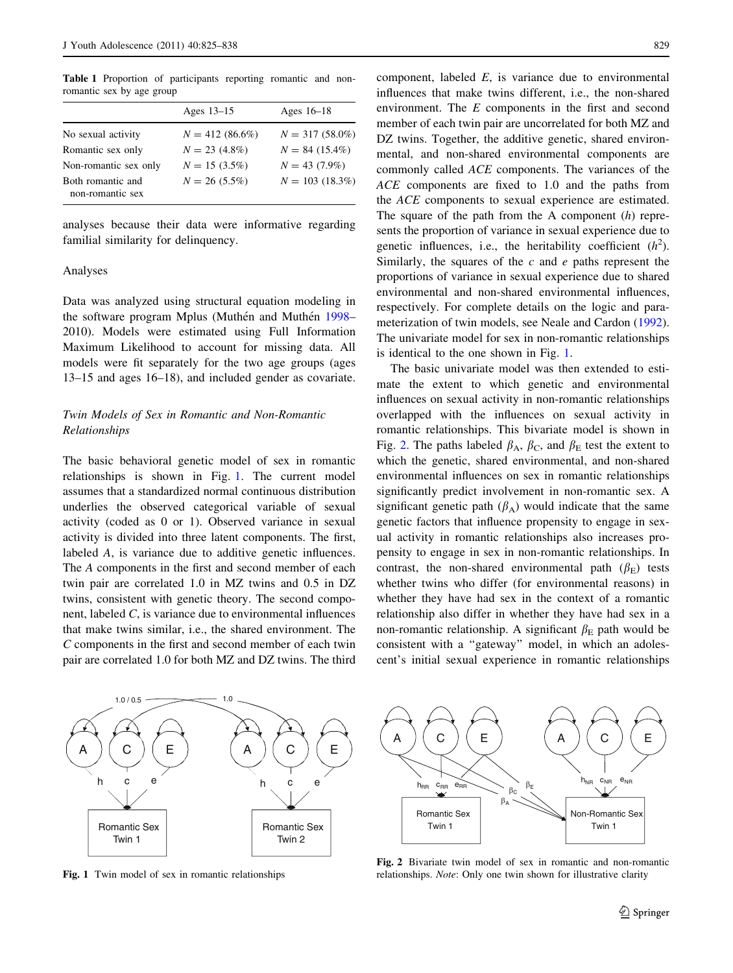Table 1 Proportion of participants reporting romantic and nonromantic sex by age group

|                                       | Ages $13-15$      | Ages $16-18$      |
|---------------------------------------|-------------------|-------------------|
| No sexual activity                    | $N = 412(86.6\%)$ | $N = 317(58.0\%)$ |
| Romantic sex only                     | $N = 23$ (4.8%)   | $N = 84$ (15.4%)  |
| Non-romantic sex only                 | $N = 15(3.5\%)$   | $N = 43(7.9\%)$   |
| Both romantic and<br>non-romantic sex | $N = 26$ (5.5%)   | $N = 103$ (18.3%) |

analyses because their data were informative regarding familial similarity for delinquency.

#### Analyses

Data was analyzed using structural equation modeling in the software program Mplus (Muthén and Muthén [1998](#page-12-0)– 2010). Models were estimated using Full Information Maximum Likelihood to account for missing data. All models were fit separately for the two age groups (ages 13–15 and ages 16–18), and included gender as covariate.

## Twin Models of Sex in Romantic and Non-Romantic Relationships

The basic behavioral genetic model of sex in romantic relationships is shown in Fig. [1.](#page-4-0) The current model assumes that a standardized normal continuous distribution underlies the observed categorical variable of sexual activity (coded as 0 or 1). Observed variance in sexual activity is divided into three latent components. The first, labeled A, is variance due to additive genetic influences. The A components in the first and second member of each twin pair are correlated 1.0 in MZ twins and 0.5 in DZ twins, consistent with genetic theory. The second component, labeled C, is variance due to environmental influences that make twins similar, i.e., the shared environment. The C components in the first and second member of each twin pair are correlated 1.0 for both MZ and DZ twins. The third component, labeled E, is variance due to environmental influences that make twins different, i.e., the non-shared environment. The E components in the first and second member of each twin pair are uncorrelated for both MZ and DZ twins. Together, the additive genetic, shared environmental, and non-shared environmental components are commonly called ACE components. The variances of the ACE components are fixed to 1.0 and the paths from the ACE components to sexual experience are estimated. The square of the path from the A component  $(h)$  represents the proportion of variance in sexual experience due to genetic influences, i.e., the heritability coefficient  $(h^2)$ . Similarly, the squares of the  $c$  and  $e$  paths represent the proportions of variance in sexual experience due to shared environmental and non-shared environmental influences, respectively. For complete details on the logic and parameterization of twin models, see Neale and Cardon [\(1992](#page-12-0)). The univariate model for sex in non-romantic relationships is identical to the one shown in Fig. [1](#page-4-0).

The basic univariate model was then extended to estimate the extent to which genetic and environmental influences on sexual activity in non-romantic relationships overlapped with the influences on sexual activity in romantic relationships. This bivariate model is shown in Fig. [2](#page-4-0). The paths labeled  $\beta_A$ ,  $\beta_C$ , and  $\beta_E$  test the extent to which the genetic, shared environmental, and non-shared environmental influences on sex in romantic relationships significantly predict involvement in non-romantic sex. A significant genetic path  $(\beta_A)$  would indicate that the same genetic factors that influence propensity to engage in sexual activity in romantic relationships also increases propensity to engage in sex in non-romantic relationships. In contrast, the non-shared environmental path  $(\beta_{\rm E})$  tests whether twins who differ (for environmental reasons) in whether they have had sex in the context of a romantic relationship also differ in whether they have had sex in a non-romantic relationship. A significant  $\beta_E$  path would be consistent with a "gateway" model, in which an adolescent's initial sexual experience in romantic relationships



<span id="page-4-0"></span>Fig. 1 Twin model of sex in romantic relationships



Fig. 2 Bivariate twin model of sex in romantic and non-romantic relationships. Note: Only one twin shown for illustrative clarity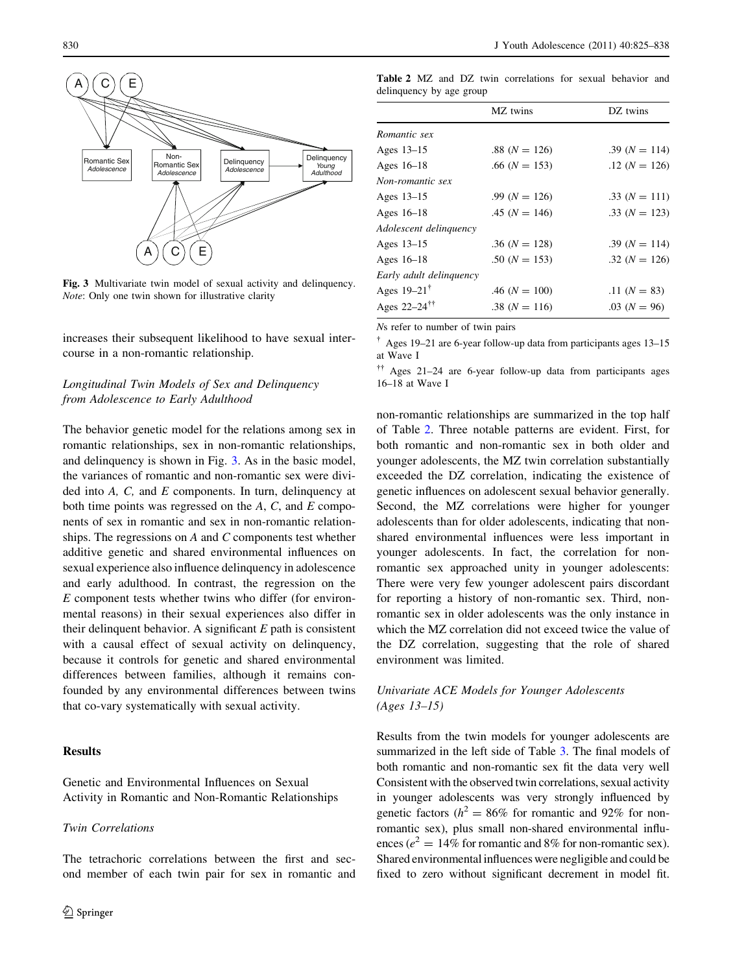

Fig. 3 Multivariate twin model of sexual activity and delinquency. Note: Only one twin shown for illustrative clarity

increases their subsequent likelihood to have sexual intercourse in a non-romantic relationship.

## Longitudinal Twin Models of Sex and Delinquency from Adolescence to Early Adulthood

The behavior genetic model for the relations among sex in romantic relationships, sex in non-romantic relationships, and delinquency is shown in Fig. [3](#page-5-0). As in the basic model, the variances of romantic and non-romantic sex were divided into  $A$ ,  $C$ , and  $E$  components. In turn, delinquency at both time points was regressed on the  $A$ ,  $C$ , and  $E$  components of sex in romantic and sex in non-romantic relationships. The regressions on  $A$  and  $C$  components test whether additive genetic and shared environmental influences on sexual experience also influence delinquency in adolescence and early adulthood. In contrast, the regression on the  $E$  component tests whether twins who differ (for environmental reasons) in their sexual experiences also differ in their delinquent behavior. A significant  $E$  path is consistent with a causal effect of sexual activity on delinquency, because it controls for genetic and shared environmental differences between families, although it remains confounded by any environmental differences between twins that co-vary systematically with sexual activity.

## **Results**

Genetic and Environmental Influences on Sexual Activity in Romantic and Non-Romantic Relationships

## Twin Correlations

<span id="page-5-0"></span>The tetrachoric correlations between the first and second member of each twin pair for sex in romantic and

Table 2 MZ and DZ twin correlations for sexual behavior and delinquency by age group

|                              | MZ twins          | DZ twins          |
|------------------------------|-------------------|-------------------|
| Romantic sex                 |                   |                   |
| Ages 13-15                   | .88 $(N = 126)$   | .39 ( $N = 114$ ) |
| Ages 16-18                   | .66 ( $N = 153$ ) | $.12(N = 126)$    |
| Non-romantic sex             |                   |                   |
| Ages 13-15                   | .99 $(N = 126)$   | $.33(N = 111)$    |
| Ages 16-18                   | $.45(N = 146)$    | $.33(N = 123)$    |
| Adolescent delinquency       |                   |                   |
| Ages 13-15                   | $.36(N = 128)$    | .39 ( $N = 114$ ) |
| Ages 16-18                   | .50 $(N = 153)$   | $.32(N = 126)$    |
| Early adult delinquency      |                   |                   |
| Ages $19-21^{\dagger}$       | $.46 (N = 100)$   | .11 $(N = 83)$    |
| Ages $22 - 24$ <sup>††</sup> | .38 $(N = 116)$   | $.03(N = 96)$     |

Ns refer to number of twin pairs

 $<sup>†</sup>$  Ages 19–21 are 6-year follow-up data from participants ages 13–15</sup> at Wave I

 $<sup>††</sup>$  Ages 21–24 are 6-year follow-up data from participants ages</sup> 16–18 at Wave I

non-romantic relationships are summarized in the top half of Table [2.](#page-5-0) Three notable patterns are evident. First, for both romantic and non-romantic sex in both older and younger adolescents, the MZ twin correlation substantially exceeded the DZ correlation, indicating the existence of genetic influences on adolescent sexual behavior generally. Second, the MZ correlations were higher for younger adolescents than for older adolescents, indicating that nonshared environmental influences were less important in younger adolescents. In fact, the correlation for nonromantic sex approached unity in younger adolescents: There were very few younger adolescent pairs discordant for reporting a history of non-romantic sex. Third, nonromantic sex in older adolescents was the only instance in which the MZ correlation did not exceed twice the value of the DZ correlation, suggesting that the role of shared environment was limited.

# Univariate ACE Models for Younger Adolescents (Ages 13–15)

Results from the twin models for younger adolescents are summarized in the left side of Table [3](#page-6-0). The final models of both romantic and non-romantic sex fit the data very well Consistent with the observed twin correlations, sexual activity in younger adolescents was very strongly influenced by genetic factors ( $h^2 = 86\%$  for romantic and 92% for nonromantic sex), plus small non-shared environmental influences ( $e^2 = 14\%$  for romantic and 8% for non-romantic sex). Shared environmental influences were negligible and could be fixed to zero without significant decrement in model fit.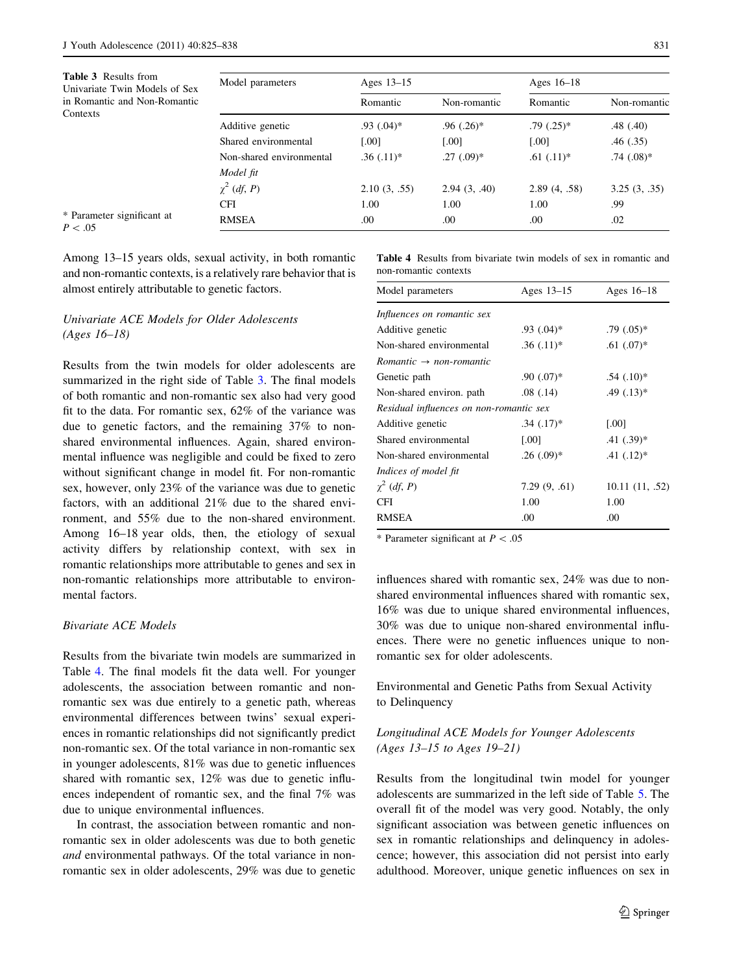| <b>Table 3</b> Results from<br>Univariate Twin Models of Sex | Model parameters         | Ages $13-15$  |              | Ages $16-18$    |                |
|--------------------------------------------------------------|--------------------------|---------------|--------------|-----------------|----------------|
| in Romantic and Non-Romantic<br>Contexts                     |                          | Romantic      | Non-romantic | Romantic        | Non-romantic   |
|                                                              | Additive genetic         | $.93(0.04)$ * | $.96(.26)^*$ | $.79(.25)*$     | .48(.40)       |
|                                                              | Shared environmental     | [.00]         | [.00]        | [.001]          | .46(.35)       |
|                                                              | Non-shared environmental | $.36(.11)*$   | $.27(.09)*$  | $.61$ $(.11)^*$ | $.74$ $(.08)*$ |
|                                                              | Model fit                |               |              |                 |                |
|                                                              | $\chi^2$ (df, P)         | 2.10(3, .55)  | 2.94(3, .40) | 2.89(4, .58)    | 3.25(3, .35)   |
|                                                              | <b>CFI</b>               | 1.00          | 1.00         | 1.00            | .99            |
| * Parameter significant at<br>P < .05                        | <b>RMSEA</b>             | .00           | .00          | .00             | .02            |

Among 13–15 years olds, sexual activity, in both romantic and non-romantic contexts, is a relatively rare behavior that is almost entirely attributable to genetic factors.

# Univariate ACE Models for Older Adolescents (Ages 16–18)

Results from the twin models for older adolescents are summarized in the right side of Table [3](#page-6-0). The final models of both romantic and non-romantic sex also had very good fit to the data. For romantic sex, 62% of the variance was due to genetic factors, and the remaining 37% to nonshared environmental influences. Again, shared environmental influence was negligible and could be fixed to zero without significant change in model fit. For non-romantic sex, however, only 23% of the variance was due to genetic factors, with an additional 21% due to the shared environment, and 55% due to the non-shared environment. Among 16–18 year olds, then, the etiology of sexual activity differs by relationship context, with sex in romantic relationships more attributable to genes and sex in non-romantic relationships more attributable to environmental factors.

## Bivariate ACE Models

Results from the bivariate twin models are summarized in Table [4](#page-6-0). The final models fit the data well. For younger adolescents, the association between romantic and nonromantic sex was due entirely to a genetic path, whereas environmental differences between twins' sexual experiences in romantic relationships did not significantly predict non-romantic sex. Of the total variance in non-romantic sex in younger adolescents, 81% was due to genetic influences shared with romantic sex, 12% was due to genetic influences independent of romantic sex, and the final 7% was due to unique environmental influences.

<span id="page-6-0"></span>In contrast, the association between romantic and nonromantic sex in older adolescents was due to both genetic and environmental pathways. Of the total variance in nonromantic sex in older adolescents, 29% was due to genetic

Table 4 Results from bivariate twin models of sex in romantic and non-romantic contexts

| Model parameters                        | Ages $13-15$   | Ages $16-18$   |  |
|-----------------------------------------|----------------|----------------|--|
| Influences on romantic sex              |                |                |  |
| Additive genetic                        | $.93$ $(.04)*$ | $.79(.05)$ *   |  |
| Non-shared environmental                | $.36(.11)*$    | .61 $(.07)$ *  |  |
| Romantic $\rightarrow$ non-romantic     |                |                |  |
| Genetic path                            | $.90(0.07)*$   | $.54$ $(.10)*$ |  |
| Non-shared environ. path                | .08(.14)       | $.49(0.13)*$   |  |
| Residual influences on non-romantic sex |                |                |  |
| Additive genetic                        | $.34$ $(.17)*$ | [.00]          |  |
| Shared environmental                    | [.00]          | $.41(.39)$ *   |  |
| Non-shared environmental                | $.26(.09)*$    | $.41$ $(.12)*$ |  |
| Indices of model fit                    |                |                |  |
| $\chi^2$ (df, P)                        | 7.29(9, .61)   | 10.11(11, .52) |  |
| <b>CFI</b>                              | 1.00           | 1.00           |  |
| <b>RMSEA</b>                            | .00            | .00            |  |

\* Parameter significant at  $P < .05$ 

influences shared with romantic sex, 24% was due to nonshared environmental influences shared with romantic sex, 16% was due to unique shared environmental influences, 30% was due to unique non-shared environmental influences. There were no genetic influences unique to nonromantic sex for older adolescents.

Environmental and Genetic Paths from Sexual Activity to Delinquency

# Longitudinal ACE Models for Younger Adolescents (Ages 13–15 to Ages 19–21)

Results from the longitudinal twin model for younger adolescents are summarized in the left side of Table [5.](#page-7-0) The overall fit of the model was very good. Notably, the only significant association was between genetic influences on sex in romantic relationships and delinquency in adolescence; however, this association did not persist into early adulthood. Moreover, unique genetic influences on sex in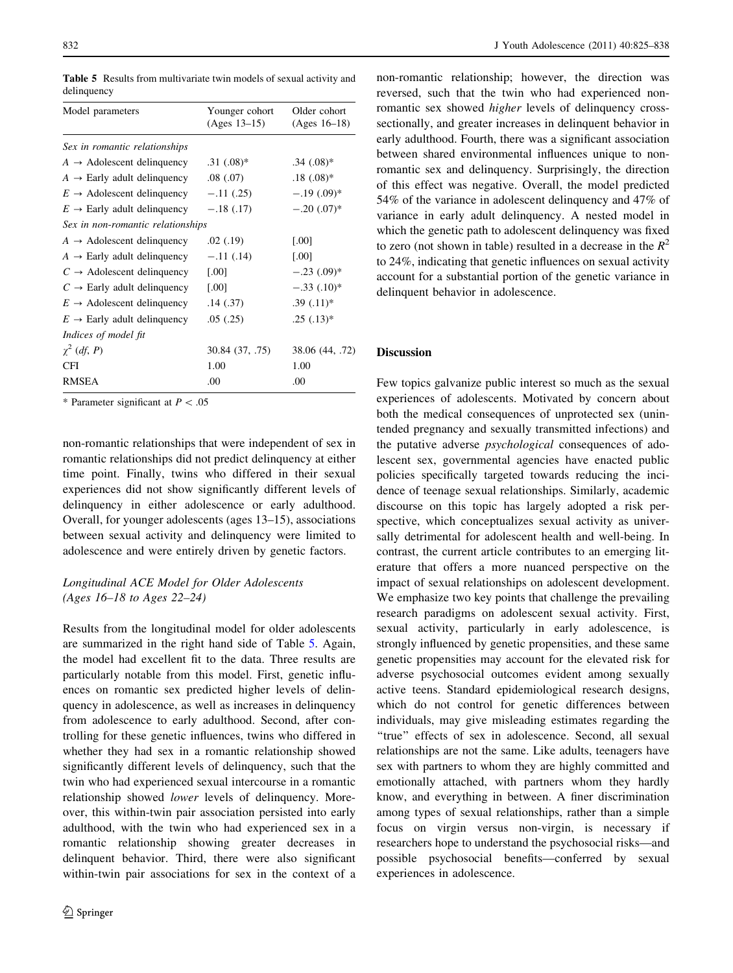Table 5 Results from multivariate twin models of sexual activity and delinquency

| Model parameters                        | Younger cohort<br>$(Ages 13-15)$ | Older cohort<br>$(Ages 16-18)$ |
|-----------------------------------------|----------------------------------|--------------------------------|
| Sex in romantic relationships           |                                  |                                |
| $A \rightarrow$ Adolescent delinquency  | $.31 \,(.08)^*$                  | $.34 \; (.08)^*$               |
| $A \rightarrow$ Early adult delinquency | .08(.07)                         | $.18(.08)$ *                   |
| $E \rightarrow$ Adolescent delinquency  | $-.11(.25)$                      | $-.19(.09)$ *                  |
| $E \rightarrow$ Early adult delinquency | $-.18(.17)$                      | $-.20(.07)$ *                  |
| Sex in non-romantic relationships       |                                  |                                |
| $A \rightarrow$ Adolescent delinquency  | .02(.19)                         | [.00]                          |
| $A \rightarrow$ Early adult delinquency | $-.11$ (.14)                     | [.00]                          |
| $C \rightarrow$ Adolescent delinquency  | [.00]                            | $-.23(.09)*$                   |
| $C \rightarrow$ Early adult delinquency | [.00]                            | $-.33(.10)*$                   |
| $E \rightarrow$ Adolescent delinquency  | .14(0.37)                        | $.39(.11)*$                    |
| $E \rightarrow$ Early adult delinquency | .05(.25)                         | $.25(.13)*$                    |
| Indices of model fit                    |                                  |                                |
| $\chi^2$ (df, P)                        | 30.84 (37, .75)                  | 38.06 (44, .72)                |
| <b>CFI</b>                              | 1.00                             | 1.00                           |
| <b>RMSEA</b>                            | .00                              | .00                            |

\* Parameter significant at  $P < .05$ 

non-romantic relationships that were independent of sex in romantic relationships did not predict delinquency at either time point. Finally, twins who differed in their sexual experiences did not show significantly different levels of delinquency in either adolescence or early adulthood. Overall, for younger adolescents (ages 13–15), associations between sexual activity and delinquency were limited to adolescence and were entirely driven by genetic factors.

# Longitudinal ACE Model for Older Adolescents (Ages 16–18 to Ages 22–24)

<span id="page-7-0"></span>Results from the longitudinal model for older adolescents are summarized in the right hand side of Table [5.](#page-7-0) Again, the model had excellent fit to the data. Three results are particularly notable from this model. First, genetic influences on romantic sex predicted higher levels of delinquency in adolescence, as well as increases in delinquency from adolescence to early adulthood. Second, after controlling for these genetic influences, twins who differed in whether they had sex in a romantic relationship showed significantly different levels of delinquency, such that the twin who had experienced sexual intercourse in a romantic relationship showed lower levels of delinquency. Moreover, this within-twin pair association persisted into early adulthood, with the twin who had experienced sex in a romantic relationship showing greater decreases in delinquent behavior. Third, there were also significant within-twin pair associations for sex in the context of a non-romantic relationship; however, the direction was reversed, such that the twin who had experienced nonromantic sex showed higher levels of delinquency crosssectionally, and greater increases in delinquent behavior in early adulthood. Fourth, there was a significant association between shared environmental influences unique to nonromantic sex and delinquency. Surprisingly, the direction of this effect was negative. Overall, the model predicted 54% of the variance in adolescent delinquency and 47% of variance in early adult delinquency. A nested model in which the genetic path to adolescent delinquency was fixed to zero (not shown in table) resulted in a decrease in the  $R^2$ to 24%, indicating that genetic influences on sexual activity account for a substantial portion of the genetic variance in delinquent behavior in adolescence.

## **Discussion**

Few topics galvanize public interest so much as the sexual experiences of adolescents. Motivated by concern about both the medical consequences of unprotected sex (unintended pregnancy and sexually transmitted infections) and the putative adverse psychological consequences of adolescent sex, governmental agencies have enacted public policies specifically targeted towards reducing the incidence of teenage sexual relationships. Similarly, academic discourse on this topic has largely adopted a risk perspective, which conceptualizes sexual activity as universally detrimental for adolescent health and well-being. In contrast, the current article contributes to an emerging literature that offers a more nuanced perspective on the impact of sexual relationships on adolescent development. We emphasize two key points that challenge the prevailing research paradigms on adolescent sexual activity. First, sexual activity, particularly in early adolescence, is strongly influenced by genetic propensities, and these same genetic propensities may account for the elevated risk for adverse psychosocial outcomes evident among sexually active teens. Standard epidemiological research designs, which do not control for genetic differences between individuals, may give misleading estimates regarding the ''true'' effects of sex in adolescence. Second, all sexual relationships are not the same. Like adults, teenagers have sex with partners to whom they are highly committed and emotionally attached, with partners whom they hardly know, and everything in between. A finer discrimination among types of sexual relationships, rather than a simple focus on virgin versus non-virgin, is necessary if researchers hope to understand the psychosocial risks—and possible psychosocial benefits—conferred by sexual experiences in adolescence.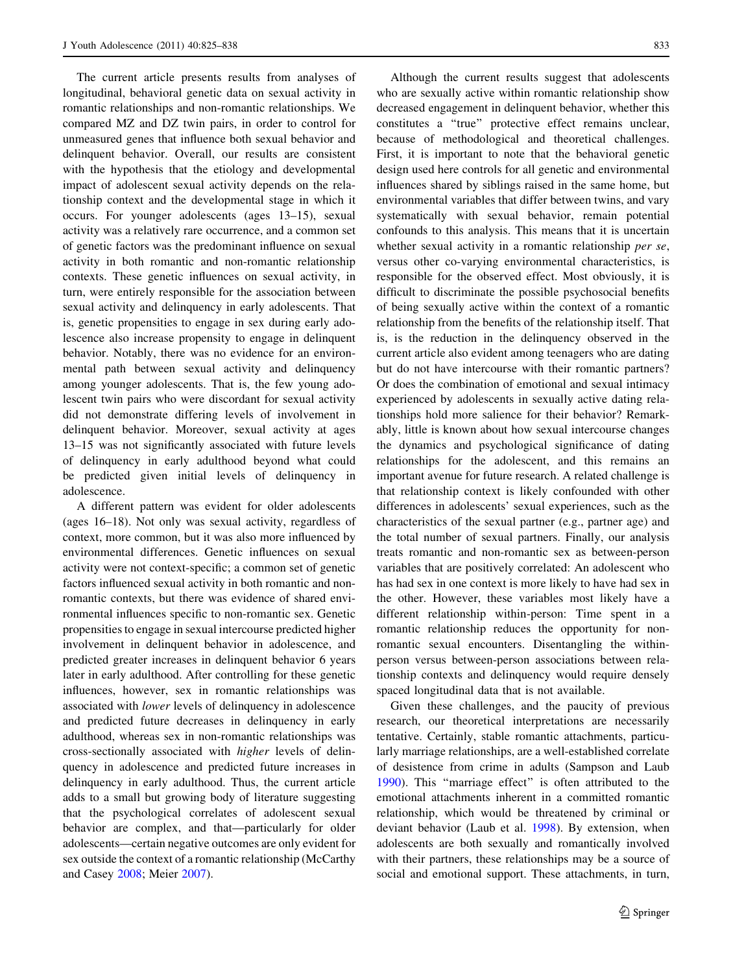The current article presents results from analyses of longitudinal, behavioral genetic data on sexual activity in romantic relationships and non-romantic relationships. We compared MZ and DZ twin pairs, in order to control for unmeasured genes that influence both sexual behavior and delinquent behavior. Overall, our results are consistent with the hypothesis that the etiology and developmental impact of adolescent sexual activity depends on the relationship context and the developmental stage in which it occurs. For younger adolescents (ages 13–15), sexual activity was a relatively rare occurrence, and a common set of genetic factors was the predominant influence on sexual activity in both romantic and non-romantic relationship contexts. These genetic influences on sexual activity, in turn, were entirely responsible for the association between sexual activity and delinquency in early adolescents. That is, genetic propensities to engage in sex during early adolescence also increase propensity to engage in delinquent behavior. Notably, there was no evidence for an environmental path between sexual activity and delinquency among younger adolescents. That is, the few young adolescent twin pairs who were discordant for sexual activity did not demonstrate differing levels of involvement in delinquent behavior. Moreover, sexual activity at ages 13–15 was not significantly associated with future levels of delinquency in early adulthood beyond what could be predicted given initial levels of delinquency in adolescence.

A different pattern was evident for older adolescents (ages 16–18). Not only was sexual activity, regardless of context, more common, but it was also more influenced by environmental differences. Genetic influences on sexual activity were not context-specific; a common set of genetic factors influenced sexual activity in both romantic and nonromantic contexts, but there was evidence of shared environmental influences specific to non-romantic sex. Genetic propensities to engage in sexual intercourse predicted higher involvement in delinquent behavior in adolescence, and predicted greater increases in delinquent behavior 6 years later in early adulthood. After controlling for these genetic influences, however, sex in romantic relationships was associated with lower levels of delinquency in adolescence and predicted future decreases in delinquency in early adulthood, whereas sex in non-romantic relationships was cross-sectionally associated with higher levels of delinquency in adolescence and predicted future increases in delinquency in early adulthood. Thus, the current article adds to a small but growing body of literature suggesting that the psychological correlates of adolescent sexual behavior are complex, and that—particularly for older adolescents—certain negative outcomes are only evident for sex outside the context of a romantic relationship (McCarthy and Casey [2008](#page-12-0); Meier [2007\)](#page-12-0).

Although the current results suggest that adolescents who are sexually active within romantic relationship show decreased engagement in delinquent behavior, whether this constitutes a ''true'' protective effect remains unclear, because of methodological and theoretical challenges. First, it is important to note that the behavioral genetic design used here controls for all genetic and environmental influences shared by siblings raised in the same home, but environmental variables that differ between twins, and vary systematically with sexual behavior, remain potential confounds to this analysis. This means that it is uncertain whether sexual activity in a romantic relationship per se, versus other co-varying environmental characteristics, is responsible for the observed effect. Most obviously, it is difficult to discriminate the possible psychosocial benefits of being sexually active within the context of a romantic relationship from the benefits of the relationship itself. That is, is the reduction in the delinquency observed in the current article also evident among teenagers who are dating but do not have intercourse with their romantic partners? Or does the combination of emotional and sexual intimacy experienced by adolescents in sexually active dating relationships hold more salience for their behavior? Remarkably, little is known about how sexual intercourse changes the dynamics and psychological significance of dating relationships for the adolescent, and this remains an important avenue for future research. A related challenge is that relationship context is likely confounded with other differences in adolescents' sexual experiences, such as the characteristics of the sexual partner (e.g., partner age) and the total number of sexual partners. Finally, our analysis treats romantic and non-romantic sex as between-person variables that are positively correlated: An adolescent who has had sex in one context is more likely to have had sex in the other. However, these variables most likely have a different relationship within-person: Time spent in a romantic relationship reduces the opportunity for nonromantic sexual encounters. Disentangling the withinperson versus between-person associations between relationship contexts and delinquency would require densely spaced longitudinal data that is not available.

Given these challenges, and the paucity of previous research, our theoretical interpretations are necessarily tentative. Certainly, stable romantic attachments, particularly marriage relationships, are a well-established correlate of desistence from crime in adults (Sampson and Laub [1990](#page-12-0)). This ''marriage effect'' is often attributed to the emotional attachments inherent in a committed romantic relationship, which would be threatened by criminal or deviant behavior (Laub et al. [1998](#page-12-0)). By extension, when adolescents are both sexually and romantically involved with their partners, these relationships may be a source of social and emotional support. These attachments, in turn,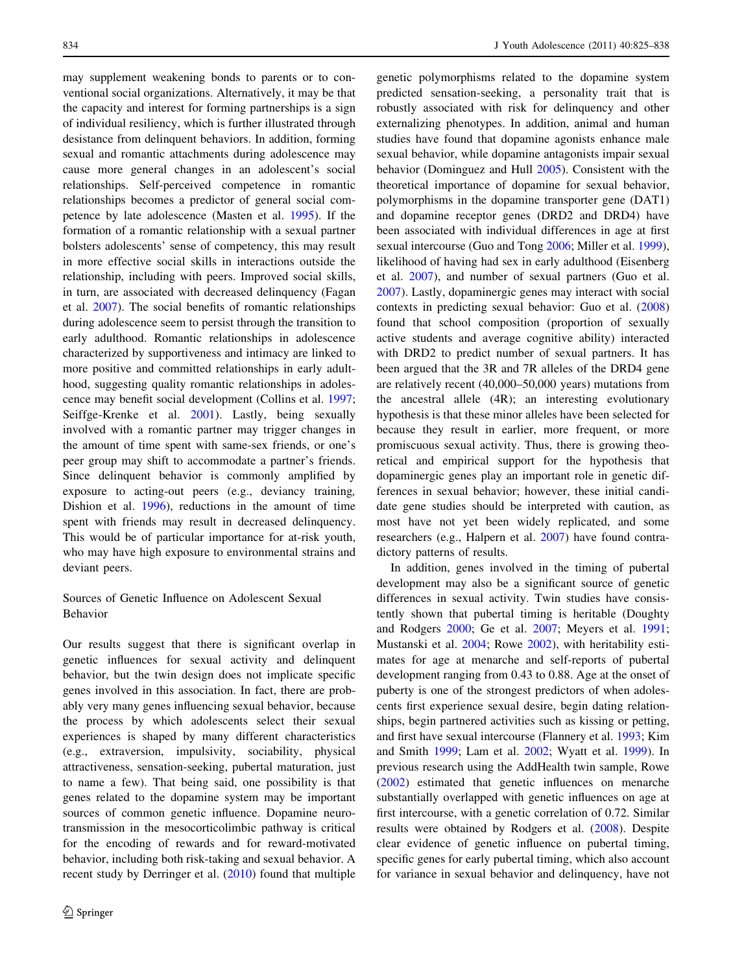may supplement weakening bonds to parents or to conventional social organizations. Alternatively, it may be that the capacity and interest for forming partnerships is a sign of individual resiliency, which is further illustrated through desistance from delinquent behaviors. In addition, forming sexual and romantic attachments during adolescence may cause more general changes in an adolescent's social relationships. Self-perceived competence in romantic relationships becomes a predictor of general social competence by late adolescence (Masten et al. [1995\)](#page-12-0). If the formation of a romantic relationship with a sexual partner bolsters adolescents' sense of competency, this may result in more effective social skills in interactions outside the relationship, including with peers. Improved social skills, in turn, are associated with decreased delinquency (Fagan et al. [2007\)](#page-11-0). The social benefits of romantic relationships during adolescence seem to persist through the transition to early adulthood. Romantic relationships in adolescence characterized by supportiveness and intimacy are linked to more positive and committed relationships in early adulthood, suggesting quality romantic relationships in adolescence may benefit social development (Collins et al. [1997](#page-11-0); Seiffge-Krenke et al. [2001\)](#page-12-0). Lastly, being sexually involved with a romantic partner may trigger changes in the amount of time spent with same-sex friends, or one's peer group may shift to accommodate a partner's friends. Since delinquent behavior is commonly amplified by exposure to acting-out peers (e.g., deviancy training, Dishion et al. [1996\)](#page-11-0), reductions in the amount of time spent with friends may result in decreased delinquency. This would be of particular importance for at-risk youth, who may have high exposure to environmental strains and deviant peers.

# Sources of Genetic Influence on Adolescent Sexual Behavior

Our results suggest that there is significant overlap in genetic influences for sexual activity and delinquent behavior, but the twin design does not implicate specific genes involved in this association. In fact, there are probably very many genes influencing sexual behavior, because the process by which adolescents select their sexual experiences is shaped by many different characteristics (e.g., extraversion, impulsivity, sociability, physical attractiveness, sensation-seeking, pubertal maturation, just to name a few). That being said, one possibility is that genes related to the dopamine system may be important sources of common genetic influence. Dopamine neurotransmission in the mesocorticolimbic pathway is critical for the encoding of rewards and for reward-motivated behavior, including both risk-taking and sexual behavior. A recent study by Derringer et al. ([2010\)](#page-11-0) found that multiple genetic polymorphisms related to the dopamine system predicted sensation-seeking, a personality trait that is robustly associated with risk for delinquency and other externalizing phenotypes. In addition, animal and human studies have found that dopamine agonists enhance male sexual behavior, while dopamine antagonists impair sexual behavior (Dominguez and Hull [2005](#page-11-0)). Consistent with the theoretical importance of dopamine for sexual behavior, polymorphisms in the dopamine transporter gene (DAT1) and dopamine receptor genes (DRD2 and DRD4) have been associated with individual differences in age at first sexual intercourse (Guo and Tong [2006](#page-11-0); Miller et al. [1999](#page-12-0)), likelihood of having had sex in early adulthood (Eisenberg et al. [2007](#page-11-0)), and number of sexual partners (Guo et al. [2007](#page-11-0)). Lastly, dopaminergic genes may interact with social contexts in predicting sexual behavior: Guo et al. ([2008\)](#page-11-0) found that school composition (proportion of sexually active students and average cognitive ability) interacted with DRD2 to predict number of sexual partners. It has been argued that the 3R and 7R alleles of the DRD4 gene are relatively recent (40,000–50,000 years) mutations from the ancestral allele (4R); an interesting evolutionary hypothesis is that these minor alleles have been selected for because they result in earlier, more frequent, or more promiscuous sexual activity. Thus, there is growing theoretical and empirical support for the hypothesis that dopaminergic genes play an important role in genetic differences in sexual behavior; however, these initial candidate gene studies should be interpreted with caution, as most have not yet been widely replicated, and some researchers (e.g., Halpern et al. [2007](#page-11-0)) have found contradictory patterns of results.

In addition, genes involved in the timing of pubertal development may also be a significant source of genetic differences in sexual activity. Twin studies have consistently shown that pubertal timing is heritable (Doughty and Rodgers [2000](#page-11-0); Ge et al. [2007](#page-11-0); Meyers et al. [1991](#page-12-0); Mustanski et al. [2004](#page-12-0); Rowe [2002\)](#page-12-0), with heritability estimates for age at menarche and self-reports of pubertal development ranging from 0.43 to 0.88. Age at the onset of puberty is one of the strongest predictors of when adolescents first experience sexual desire, begin dating relationships, begin partnered activities such as kissing or petting, and first have sexual intercourse (Flannery et al. [1993](#page-11-0); Kim and Smith [1999](#page-11-0); Lam et al. [2002](#page-12-0); Wyatt et al. [1999](#page-13-0)). In previous research using the AddHealth twin sample, Rowe [\(2002](#page-12-0)) estimated that genetic influences on menarche substantially overlapped with genetic influences on age at first intercourse, with a genetic correlation of 0.72. Similar results were obtained by Rodgers et al. [\(2008](#page-12-0)). Despite clear evidence of genetic influence on pubertal timing, specific genes for early pubertal timing, which also account for variance in sexual behavior and delinquency, have not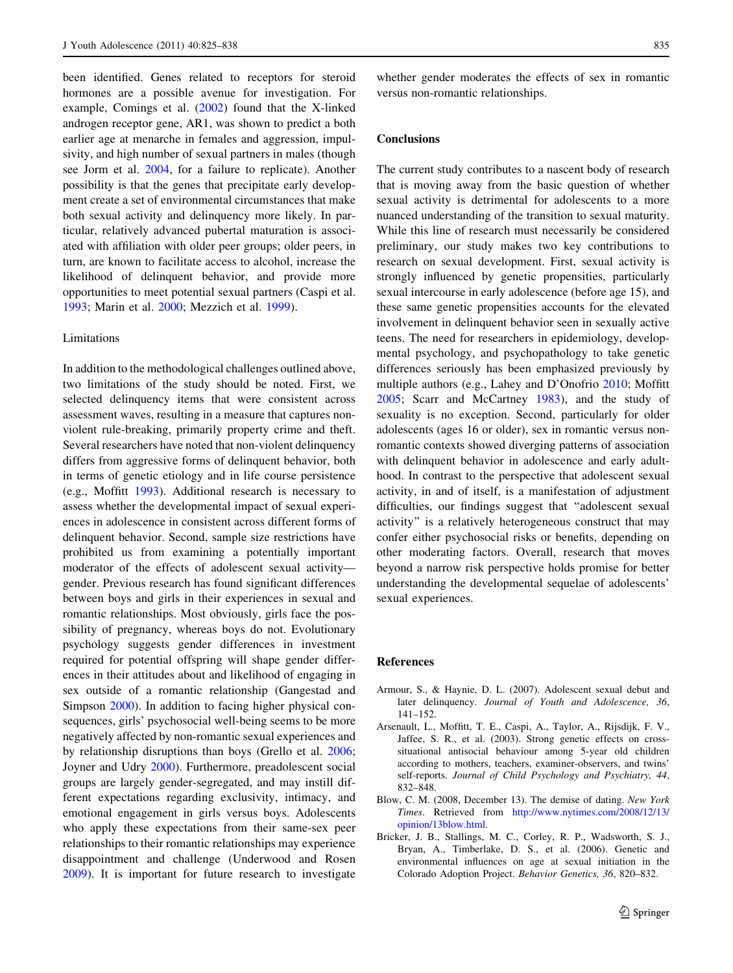been identified. Genes related to receptors for steroid hormones are a possible avenue for investigation. For example, Comings et al. ([2002\)](#page-11-0) found that the X-linked androgen receptor gene, AR1, was shown to predict a both earlier age at menarche in females and aggression, impulsivity, and high number of sexual partners in males (though see Jorm et al. [2004,](#page-11-0) for a failure to replicate). Another possibility is that the genes that precipitate early development create a set of environmental circumstances that make both sexual activity and delinquency more likely. In particular, relatively advanced pubertal maturation is associated with affiliation with older peer groups; older peers, in turn, are known to facilitate access to alcohol, increase the likelihood of delinquent behavior, and provide more opportunities to meet potential sexual partners (Caspi et al. [1993;](#page-11-0) Marin et al. [2000;](#page-12-0) Mezzich et al. [1999](#page-12-0)).

#### Limitations

In addition to the methodological challenges outlined above, two limitations of the study should be noted. First, we selected delinquency items that were consistent across assessment waves, resulting in a measure that captures nonviolent rule-breaking, primarily property crime and theft. Several researchers have noted that non-violent delinquency differs from aggressive forms of delinquent behavior, both in terms of genetic etiology and in life course persistence (e.g., Moffitt [1993](#page-12-0)). Additional research is necessary to assess whether the developmental impact of sexual experiences in adolescence in consistent across different forms of delinquent behavior. Second, sample size restrictions have prohibited us from examining a potentially important moderator of the effects of adolescent sexual activity gender. Previous research has found significant differences between boys and girls in their experiences in sexual and romantic relationships. Most obviously, girls face the possibility of pregnancy, whereas boys do not. Evolutionary psychology suggests gender differences in investment required for potential offspring will shape gender differences in their attitudes about and likelihood of engaging in sex outside of a romantic relationship (Gangestad and Simpson [2000](#page-11-0)). In addition to facing higher physical consequences, girls' psychosocial well-being seems to be more negatively affected by non-romantic sexual experiences and by relationship disruptions than boys (Grello et al. [2006](#page-11-0); Joyner and Udry [2000](#page-11-0)). Furthermore, preadolescent social groups are largely gender-segregated, and may instill different expectations regarding exclusivity, intimacy, and emotional engagement in girls versus boys. Adolescents who apply these expectations from their same-sex peer relationships to their romantic relationships may experience disappointment and challenge (Underwood and Rosen [2009\)](#page-13-0). It is important for future research to investigate whether gender moderates the effects of sex in romantic versus non-romantic relationships.

## **Conclusions**

The current study contributes to a nascent body of research that is moving away from the basic question of whether sexual activity is detrimental for adolescents to a more nuanced understanding of the transition to sexual maturity. While this line of research must necessarily be considered preliminary, our study makes two key contributions to research on sexual development. First, sexual activity is strongly influenced by genetic propensities, particularly sexual intercourse in early adolescence (before age 15), and these same genetic propensities accounts for the elevated involvement in delinquent behavior seen in sexually active teens. The need for researchers in epidemiology, developmental psychology, and psychopathology to take genetic differences seriously has been emphasized previously by multiple authors (e.g., Lahey and D'Onofrio [2010](#page-12-0); Moffitt [2005](#page-12-0); Scarr and McCartney [1983\)](#page-12-0), and the study of sexuality is no exception. Second, particularly for older adolescents (ages 16 or older), sex in romantic versus nonromantic contexts showed diverging patterns of association with delinquent behavior in adolescence and early adulthood. In contrast to the perspective that adolescent sexual activity, in and of itself, is a manifestation of adjustment difficulties, our findings suggest that ''adolescent sexual activity'' is a relatively heterogeneous construct that may confer either psychosocial risks or benefits, depending on other moderating factors. Overall, research that moves beyond a narrow risk perspective holds promise for better understanding the developmental sequelae of adolescents' sexual experiences.

#### References

- Armour, S., & Haynie, D. L. (2007). Adolescent sexual debut and later delinquency. Journal of Youth and Adolescence, 36, 141–152.
- Arsenault, L., Moffitt, T. E., Caspi, A., Taylor, A., Rijsdijk, F. V., Jaffee, S. R., et al. (2003). Strong genetic effects on crosssituational antisocial behaviour among 5-year old children according to mothers, teachers, examiner-observers, and twins' self-reports. Journal of Child Psychology and Psychiatry, 44, 832–848.
- Blow, C. M. (2008, December 13). The demise of dating. New York Times. Retrieved from [http://www.nytimes.com/2008/12/13/](http://www.nytimes.com/2008/12/13/opinion/13blow.html) [opinion/13blow.html.](http://www.nytimes.com/2008/12/13/opinion/13blow.html)
- <span id="page-10-0"></span>Bricker, J. B., Stallings, M. C., Corley, R. P., Wadsworth, S. J., Bryan, A., Timberlake, D. S., et al. (2006). Genetic and environmental influences on age at sexual initiation in the Colorado Adoption Project. Behavior Genetics, 36, 820–832.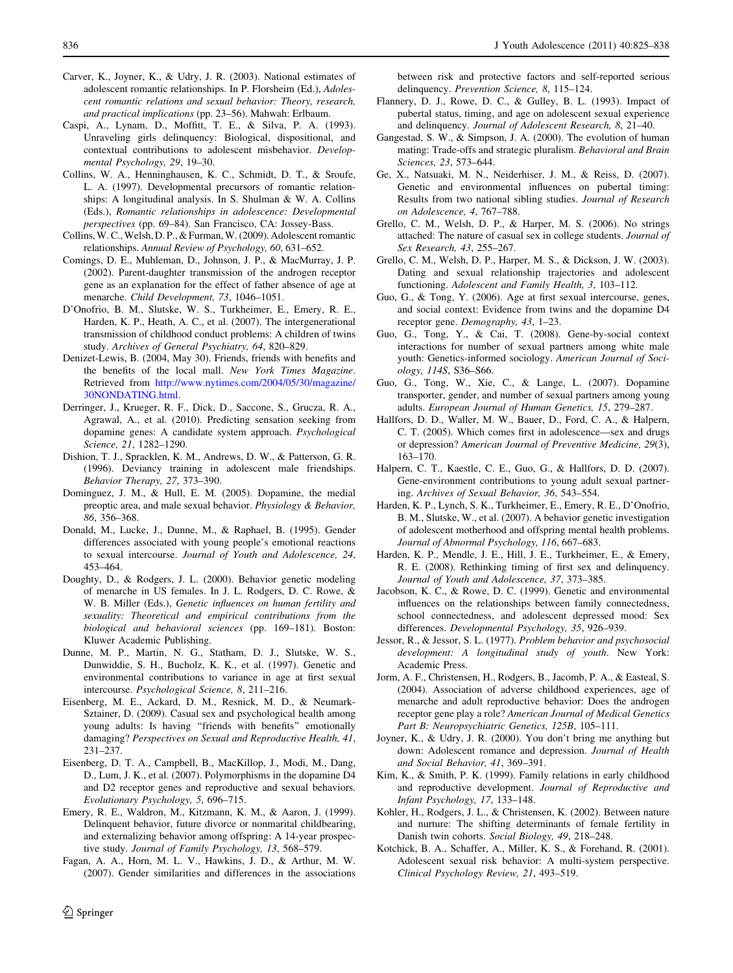- Carver, K., Joyner, K., & Udry, J. R. (2003). National estimates of adolescent romantic relationships. In P. Florsheim (Ed.), Adolescent romantic relations and sexual behavior: Theory, research, and practical implications (pp. 23–56). Mahwah: Erlbaum.
- Caspi, A., Lynam, D., Moffitt, T. E., & Silva, P. A. (1993). Unraveling girls delinquency: Biological, dispositional, and contextual contributions to adolescent misbehavior. Developmental Psychology, 29, 19–30.
- Collins, W. A., Henninghausen, K. C., Schmidt, D. T., & Sroufe, L. A. (1997). Developmental precursors of romantic relationships: A longitudinal analysis. In S. Shulman & W. A. Collins (Eds.), Romantic relationships in adolescence: Developmental perspectives (pp. 69–84). San Francisco, CA: Jossey-Bass.
- Collins,W. C.,Welsh, D. P., & Furman,W. (2009). Adolescent romantic relationships. Annual Review of Psychology, 60, 631–652.
- Comings, D. E., Muhleman, D., Johnson, J. P., & MacMurray, J. P. (2002). Parent-daughter transmission of the androgen receptor gene as an explanation for the effect of father absence of age at menarche. Child Development, 73, 1046–1051.
- D'Onofrio, B. M., Slutske, W. S., Turkheimer, E., Emery, R. E., Harden, K. P., Heath, A. C., et al. (2007). The intergenerational transmission of childhood conduct problems: A children of twins study. Archives of General Psychiatry, 64, 820–829.
- Denizet-Lewis, B. (2004, May 30). Friends, friends with benefits and the benefits of the local mall. New York Times Magazine. Retrieved from [http://www.nytimes.com/2004/05/30/magazine/](http://www.nytimes.com/2004/05/30/magazine/30NONDATING.html) [30NONDATING.html.](http://www.nytimes.com/2004/05/30/magazine/30NONDATING.html)
- Derringer, J., Krueger, R. F., Dick, D., Saccone, S., Grucza, R. A., Agrawal, A., et al. (2010). Predicting sensation seeking from dopamine genes: A candidate system approach. Psychological Science, 21, 1282–1290.
- Dishion, T. J., Spracklen, K. M., Andrews, D. W., & Patterson, G. R. (1996). Deviancy training in adolescent male friendships. Behavior Therapy, 27, 373–390.
- Dominguez, J. M., & Hull, E. M. (2005). Dopamine, the medial preoptic area, and male sexual behavior. Physiology & Behavior, 86, 356–368.
- Donald, M., Lucke, J., Dunne, M., & Raphael, B. (1995). Gender differences associated with young people's emotional reactions to sexual intercourse. Journal of Youth and Adolescence, 24, 453–464.
- Doughty, D., & Rodgers, J. L. (2000). Behavior genetic modeling of menarche in US females. In J. L. Rodgers, D. C. Rowe, & W. B. Miller (Eds.), Genetic influences on human fertility and sexuality: Theoretical and empirical contributions from the biological and behavioral sciences (pp. 169–181). Boston: Kluwer Academic Publishing.
- Dunne, M. P., Martin, N. G., Statham, D. J., Slutske, W. S., Dunwiddie, S. H., Bucholz, K. K., et al. (1997). Genetic and environmental contributions to variance in age at first sexual intercourse. Psychological Science, 8, 211–216.
- Eisenberg, M. E., Ackard, D. M., Resnick, M. D., & Neumark-Sztainer, D. (2009). Casual sex and psychological health among young adults: Is having "friends with benefits" emotionally damaging? Perspectives on Sexual and Reproductive Health, 41, 231–237.
- Eisenberg, D. T. A., Campbell, B., MacKillop, J., Modi, M., Dang, D., Lum, J. K., et al. (2007). Polymorphisms in the dopamine D4 and D2 receptor genes and reproductive and sexual behaviors. Evolutionary Psychology, 5, 696–715.
- Emery, R. E., Waldron, M., Kitzmann, K. M., & Aaron, J. (1999). Delinquent behavior, future divorce or nonmarital childbearing, and externalizing behavior among offspring: A 14-year prospective study. Journal of Family Psychology, 13, 568–579.
- <span id="page-11-0"></span>Fagan, A. A., Horn, M. L. V., Hawkins, J. D., & Arthur, M. W. (2007). Gender similarities and differences in the associations

between risk and protective factors and self-reported serious delinquency. Prevention Science, 8, 115–124.

- Flannery, D. J., Rowe, D. C., & Gulley, B. L. (1993). Impact of pubertal status, timing, and age on adolescent sexual experience and delinquency. Journal of Adolescent Research, 8, 21–40.
- Gangestad, S. W., & Simpson, J. A. (2000). The evolution of human mating: Trade-offs and strategic pluralism. Behavioral and Brain Sciences, 23, 573–644.
- Ge, X., Natsuaki, M. N., Neiderhiser, J. M., & Reiss, D. (2007). Genetic and environmental influences on pubertal timing: Results from two national sibling studies. Journal of Research on Adolescence, 4, 767–788.
- Grello, C. M., Welsh, D. P., & Harper, M. S. (2006). No strings attached: The nature of casual sex in college students. Journal of Sex Research, 43, 255–267.
- Grello, C. M., Welsh, D. P., Harper, M. S., & Dickson, J. W. (2003). Dating and sexual relationship trajectories and adolescent functioning. Adolescent and Family Health, 3, 103–112.
- Guo, G., & Tong, Y. (2006). Age at first sexual intercourse, genes, and social context: Evidence from twins and the dopamine D4 receptor gene. Demography, 43, 1–23.
- Guo, G., Tong, Y., & Cai, T. (2008). Gene-by-social context interactions for number of sexual partners among white male youth: Genetics-informed sociology. American Journal of Sociology, 114S, S36–S66.
- Guo, G., Tong, W., Xie, C., & Lange, L. (2007). Dopamine transporter, gender, and number of sexual partners among young adults. European Journal of Human Genetics, 15, 279–287.
- Hallfors, D. D., Waller, M. W., Bauer, D., Ford, C. A., & Halpern, C. T. (2005). Which comes first in adolescence—sex and drugs or depression? American Journal of Preventive Medicine, 29(3), 163–170.
- Halpern, C. T., Kaestle, C. E., Guo, G., & Hallfors, D. D. (2007). Gene-environment contributions to young adult sexual partnering. Archives of Sexual Behavior, 36, 543–554.
- Harden, K. P., Lynch, S. K., Turkheimer, E., Emery, R. E., D'Onofrio, B. M., Slutske, W., et al. (2007). A behavior genetic investigation of adolescent motherhood and offspring mental health problems. Journal of Abnormal Psychology, 116, 667–683.
- Harden, K. P., Mendle, J. E., Hill, J. E., Turkheimer, E., & Emery, R. E. (2008). Rethinking timing of first sex and delinquency. Journal of Youth and Adolescence, 37, 373–385.
- Jacobson, K. C., & Rowe, D. C. (1999). Genetic and environmental influences on the relationships between family connectedness, school connectedness, and adolescent depressed mood: Sex differences. Developmental Psychology, 35, 926–939.
- Jessor, R., & Jessor, S. L. (1977). Problem behavior and psychosocial development: A longitudinal study of youth. New York: Academic Press.
- Jorm, A. F., Christensen, H., Rodgers, B., Jacomb, P. A., & Easteal, S. (2004). Association of adverse childhood experiences, age of menarche and adult reproductive behavior: Does the androgen receptor gene play a role? American Journal of Medical Genetics Part B: Neuropsychiatric Genetics, 125B, 105–111.
- Joyner, K., & Udry, J. R. (2000). You don't bring me anything but down: Adolescent romance and depression. Journal of Health and Social Behavior, 41, 369–391.
- Kim, K., & Smith, P. K. (1999). Family relations in early childhood and reproductive development. Journal of Reproductive and Infant Psychology, 17, 133–148.
- Kohler, H., Rodgers, J. L., & Christensen, K. (2002). Between nature and nurture: The shifting determinants of female fertility in Danish twin cohorts. Social Biology, 49, 218–248.
- Kotchick, B. A., Schaffer, A., Miller, K. S., & Forehand, R. (2001). Adolescent sexual risk behavior: A multi-system perspective. Clinical Psychology Review, 21, 493–519.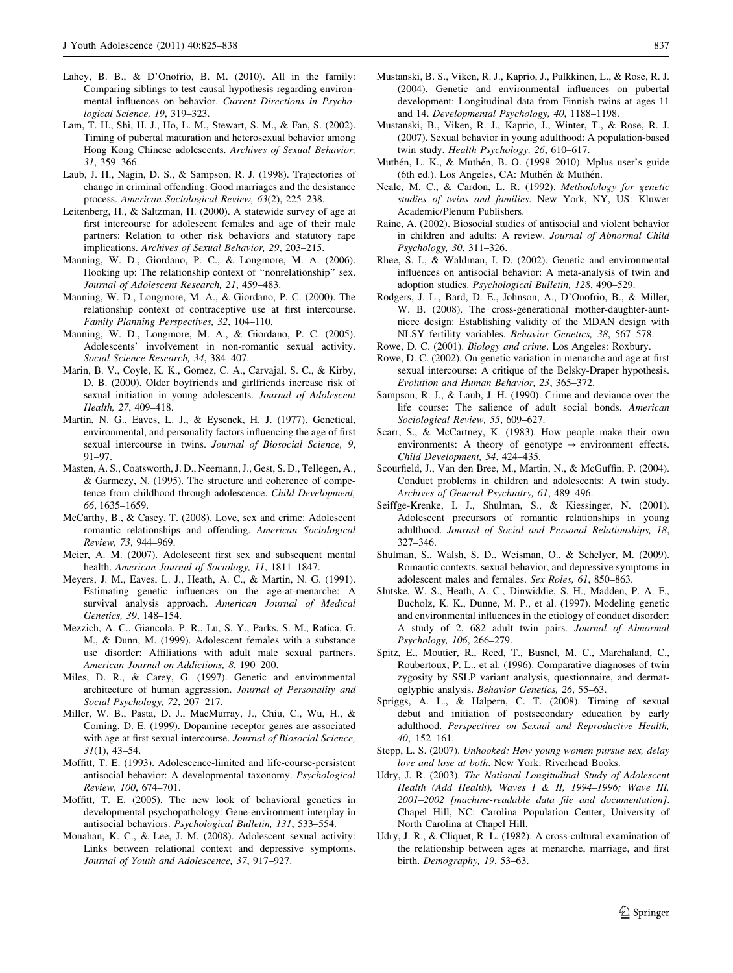- Lahey, B. B., & D'Onofrio, B. M. (2010). All in the family: Comparing siblings to test causal hypothesis regarding environmental influences on behavior. Current Directions in Psychological Science, 19, 319–323.
- Lam, T. H., Shi, H. J., Ho, L. M., Stewart, S. M., & Fan, S. (2002). Timing of pubertal maturation and heterosexual behavior among Hong Kong Chinese adolescents. Archives of Sexual Behavior, 31, 359–366.
- Laub, J. H., Nagin, D. S., & Sampson, R. J. (1998). Trajectories of change in criminal offending: Good marriages and the desistance process. American Sociological Review, 63(2), 225–238.
- Leitenberg, H., & Saltzman, H. (2000). A statewide survey of age at first intercourse for adolescent females and age of their male partners: Relation to other risk behaviors and statutory rape implications. Archives of Sexual Behavior, 29, 203–215.
- Manning, W. D., Giordano, P. C., & Longmore, M. A. (2006). Hooking up: The relationship context of ''nonrelationship'' sex. Journal of Adolescent Research, 21, 459–483.
- Manning, W. D., Longmore, M. A., & Giordano, P. C. (2000). The relationship context of contraceptive use at first intercourse. Family Planning Perspectives, 32, 104–110.
- Manning, W. D., Longmore, M. A., & Giordano, P. C. (2005). Adolescents' involvement in non-romantic sexual activity. Social Science Research, 34, 384–407.
- Marin, B. V., Coyle, K. K., Gomez, C. A., Carvajal, S. C., & Kirby, D. B. (2000). Older boyfriends and girlfriends increase risk of sexual initiation in young adolescents. Journal of Adolescent Health, 27, 409–418.
- Martin, N. G., Eaves, L. J., & Eysenck, H. J. (1977). Genetical, environmental, and personality factors influencing the age of first sexual intercourse in twins. Journal of Biosocial Science, 9, 91–97.
- Masten, A. S., Coatsworth, J. D., Neemann, J., Gest, S. D., Tellegen, A., & Garmezy, N. (1995). The structure and coherence of competence from childhood through adolescence. Child Development, 66, 1635–1659.
- McCarthy, B., & Casey, T. (2008). Love, sex and crime: Adolescent romantic relationships and offending. American Sociological Review, 73, 944–969.
- Meier, A. M. (2007). Adolescent first sex and subsequent mental health. American Journal of Sociology, 11, 1811-1847.
- Meyers, J. M., Eaves, L. J., Heath, A. C., & Martin, N. G. (1991). Estimating genetic influences on the age-at-menarche: A survival analysis approach. American Journal of Medical Genetics, 39, 148–154.
- Mezzich, A. C., Giancola, P. R., Lu, S. Y., Parks, S. M., Ratica, G. M., & Dunn, M. (1999). Adolescent females with a substance use disorder: Affiliations with adult male sexual partners. American Journal on Addictions, 8, 190–200.
- Miles, D. R., & Carey, G. (1997). Genetic and environmental architecture of human aggression. Journal of Personality and Social Psychology, 72, 207–217.
- Miller, W. B., Pasta, D. J., MacMurray, J., Chiu, C., Wu, H., & Coming, D. E. (1999). Dopamine receptor genes are associated with age at first sexual intercourse. Journal of Biosocial Science,  $31(1)$ , 43–54.
- Moffitt, T. E. (1993). Adolescence-limited and life-course-persistent antisocial behavior: A developmental taxonomy. Psychological Review, 100, 674–701.
- Moffitt, T. E. (2005). The new look of behavioral genetics in developmental psychopathology: Gene-environment interplay in antisocial behaviors. Psychological Bulletin, 131, 533–554.
- <span id="page-12-0"></span>Monahan, K. C., & Lee, J. M. (2008). Adolescent sexual activity: Links between relational context and depressive symptoms. Journal of Youth and Adolescence, 37, 917–927.
- Mustanski, B. S., Viken, R. J., Kaprio, J., Pulkkinen, L., & Rose, R. J. (2004). Genetic and environmental influences on pubertal development: Longitudinal data from Finnish twins at ages 11 and 14. Developmental Psychology, 40, 1188–1198.
- Mustanski, B., Viken, R. J., Kaprio, J., Winter, T., & Rose, R. J. (2007). Sexual behavior in young adulthood: A population-based twin study. Health Psychology, 26, 610–617.
- Muthén, L. K., & Muthén, B. O. (1998–2010). Mplus user's guide (6th ed.). Los Angeles, CA: Muthén & Muthén.
- Neale, M. C., & Cardon, L. R. (1992). Methodology for genetic studies of twins and families. New York, NY, US: Kluwer Academic/Plenum Publishers.
- Raine, A. (2002). Biosocial studies of antisocial and violent behavior in children and adults: A review. Journal of Abnormal Child Psychology, 30, 311–326.
- Rhee, S. I., & Waldman, I. D. (2002). Genetic and environmental influences on antisocial behavior: A meta-analysis of twin and adoption studies. Psychological Bulletin, 128, 490–529.
- Rodgers, J. L., Bard, D. E., Johnson, A., D'Onofrio, B., & Miller, W. B. (2008). The cross-generational mother-daughter-auntniece design: Establishing validity of the MDAN design with NLSY fertility variables. Behavior Genetics, 38, 567–578.
- Rowe, D. C. (2001). Biology and crime. Los Angeles: Roxbury.
- Rowe, D. C. (2002). On genetic variation in menarche and age at first sexual intercourse: A critique of the Belsky-Draper hypothesis. Evolution and Human Behavior, 23, 365–372.
- Sampson, R. J., & Laub, J. H. (1990). Crime and deviance over the life course: The salience of adult social bonds. American Sociological Review, 55, 609–627.
- Scarr, S., & McCartney, K. (1983). How people make their own environments: A theory of genotype  $\rightarrow$  environment effects. Child Development, 54, 424–435.
- Scourfield, J., Van den Bree, M., Martin, N., & McGuffin, P. (2004). Conduct problems in children and adolescents: A twin study. Archives of General Psychiatry, 61, 489–496.
- Seiffge-Krenke, I. J., Shulman, S., & Kiessinger, N. (2001). Adolescent precursors of romantic relationships in young adulthood. Journal of Social and Personal Relationships, 18, 327–346.
- Shulman, S., Walsh, S. D., Weisman, O., & Schelyer, M. (2009). Romantic contexts, sexual behavior, and depressive symptoms in adolescent males and females. Sex Roles, 61, 850–863.
- Slutske, W. S., Heath, A. C., Dinwiddie, S. H., Madden, P. A. F., Bucholz, K. K., Dunne, M. P., et al. (1997). Modeling genetic and environmental influences in the etiology of conduct disorder: A study of 2, 682 adult twin pairs. Journal of Abnormal Psychology, 106, 266–279.
- Spitz, E., Moutier, R., Reed, T., Busnel, M. C., Marchaland, C., Roubertoux, P. L., et al. (1996). Comparative diagnoses of twin zygosity by SSLP variant analysis, questionnaire, and dermatoglyphic analysis. Behavior Genetics, 26, 55–63.
- Spriggs, A. L., & Halpern, C. T. (2008). Timing of sexual debut and initiation of postsecondary education by early adulthood. Perspectives on Sexual and Reproductive Health, 40, 152–161.
- Stepp, L. S. (2007). Unhooked: How young women pursue sex, delay love and lose at both. New York: Riverhead Books.
- Udry, J. R. (2003). The National Longitudinal Study of Adolescent Health (Add Health), Waves I & II, 1994–1996; Wave III, 2001–2002 [machine-readable data file and documentation]. Chapel Hill, NC: Carolina Population Center, University of North Carolina at Chapel Hill.
- Udry, J. R., & Cliquet, R. L. (1982). A cross-cultural examination of the relationship between ages at menarche, marriage, and first birth. Demography, 19, 53–63.